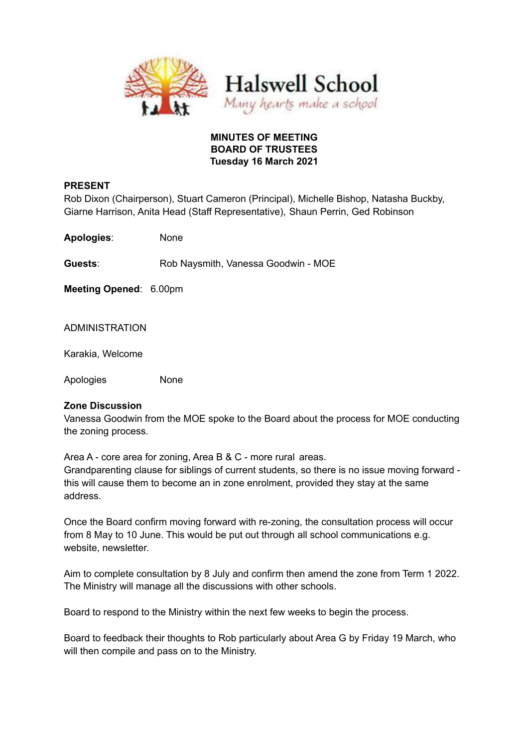

# **MINUTES OF MEETING BOARD OF TRUSTEES Tuesday 16 March 2021**

# **PRESENT**

Rob Dixon (Chairperson), Stuart Cameron (Principal), Michelle Bishop, Natasha Buckby, Giarne Harrison, Anita Head (Staff Representative), Shaun Perrin, Ged Robinson

**Apologies**: None

**Guests**: Rob Naysmith, Vanessa Goodwin - MOE

**Meeting Opened**: 6.00pm

ADMINISTRATION

Karakia, Welcome

Apologies None

# **Zone Discussion**

Vanessa Goodwin from the MOE spoke to the Board about the process for MOE conducting the zoning process.

Area A - core area for zoning, Area B & C - more rural areas. Grandparenting clause for siblings of current students, so there is no issue moving forward this will cause them to become an in zone enrolment, provided they stay at the same address.

Once the Board confirm moving forward with re-zoning, the consultation process will occur from 8 May to 10 June. This would be put out through all school communications e.g. website, newsletter.

Aim to complete consultation by 8 July and confirm then amend the zone from Term 1 2022. The Ministry will manage all the discussions with other schools.

Board to respond to the Ministry within the next few weeks to begin the process.

Board to feedback their thoughts to Rob particularly about Area G by Friday 19 March, who will then compile and pass on to the Ministry.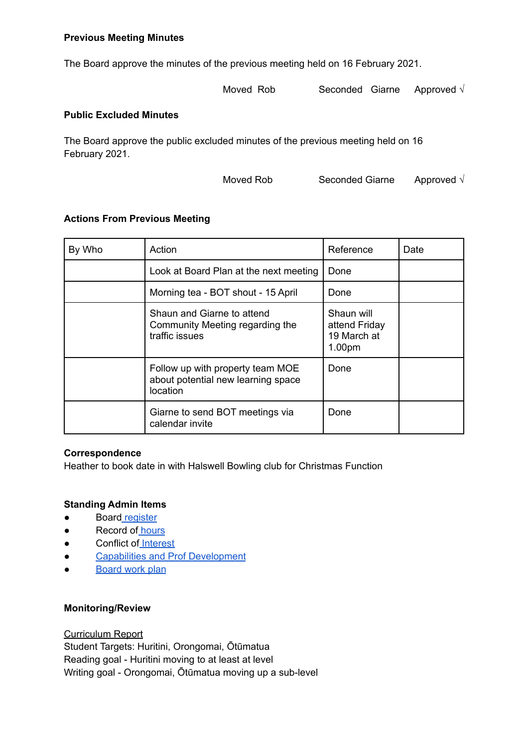# **Previous Meeting Minutes**

The Board approve the minutes of the previous meeting held on 16 February 2021.

Moved Rob Seconded Giarne Approved √

### **Public Excluded Minutes**

The Board approve the public excluded minutes of the previous meeting held on 16 February 2021.

Moved Rob Seconded Giarne Approved √

#### **Actions From Previous Meeting**

| By Who | Action                                                                             | Reference                                            | Date |
|--------|------------------------------------------------------------------------------------|------------------------------------------------------|------|
|        | Look at Board Plan at the next meeting                                             | Done                                                 |      |
|        | Morning tea - BOT shout - 15 April                                                 | Done                                                 |      |
|        | Shaun and Giarne to attend<br>Community Meeting regarding the<br>traffic issues    | Shaun will<br>attend Friday<br>19 March at<br>1.00pm |      |
|        | Follow up with property team MOE<br>about potential new learning space<br>location | Done                                                 |      |
|        | Giarne to send BOT meetings via<br>calendar invite                                 | Done                                                 |      |

# **Correspondence**

Heather to book date in with Halswell Bowling club for Christmas Function

# **Standing Admin Items**

- Board [register](https://drive.google.com/open?id=1LgYeP3fbHNJrrdwtKhmni7bUn5KZf6AdawXvp-8GM5I)
- Record of [hours](https://docs.google.com/spreadsheets/d/1ooqHmfuVcjAxJj74l2cyNrLx6E1GWjN2CMAD-VWrSTk/edit#gid=1585903216)
- Conflict of [Interest](https://drive.google.com/open?id=1LpqgUK6iwhrXOSzvrxmLTcgpA-wsuZg7DU-aIw9nGAw)
- Capabilities and Prof [Development](https://drive.google.com/open?id=1Vq0YrIsDwmndZRHvvGvFtK1YOlEWlifxCfIAxHaVDlo)
- **[Board](https://docs.google.com/document/d/16WAgjXfZuFQ9Un3Lb7bJ9NQj9tU1J26Koes3jzuU9jQ/edit) work plan**

#### **Monitoring/Review**

Curriculum Report

Student Targets: Huritini, Orongomai, Ōtūmatua Reading goal - Huritini moving to at least at level Writing goal - Orongomai, Ōtūmatua moving up a sub-level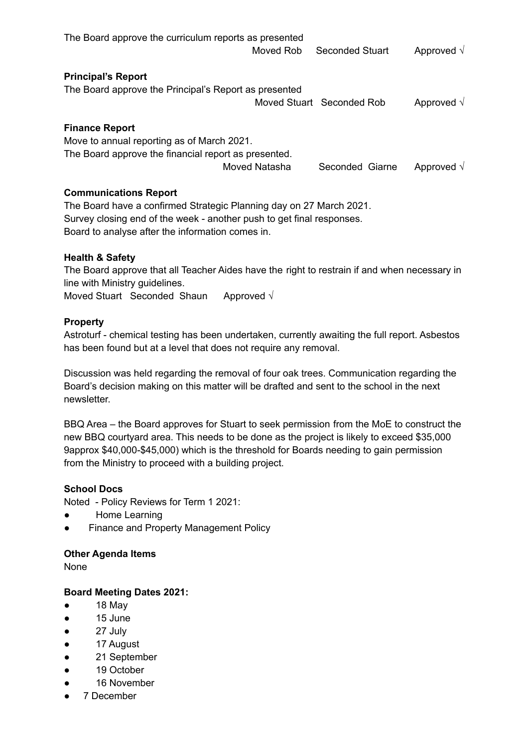| The Board approve the curriculum reports as presented |               |                           |                    |
|-------------------------------------------------------|---------------|---------------------------|--------------------|
|                                                       | Moved Rob     | <b>Seconded Stuart</b>    | Approved $\sqrt{}$ |
| <b>Principal's Report</b>                             |               |                           |                    |
| The Board approve the Principal's Report as presented |               |                           |                    |
|                                                       |               | Moved Stuart Seconded Rob | Approved $\sqrt{}$ |
| <b>Finance Report</b>                                 |               |                           |                    |
| Move to annual reporting as of March 2021.            |               |                           |                    |
| The Board approve the financial report as presented.  |               |                           |                    |
|                                                       | Moved Natasha | Seconded Giarne           | Approved $\sqrt{}$ |
| <b>Communications Report</b>                          |               |                           |                    |

The Board have a confirmed Strategic Planning day on 27 March 2021. Survey closing end of the week - another push to get final responses. Board to analyse after the information comes in.

# **Health & Safety**

The Board approve that all Teacher Aides have the right to restrain if and when necessary in line with Ministry guidelines.

Moved Stuart Seconded Shaun Approved √

# **Property**

Astroturf - chemical testing has been undertaken, currently awaiting the full report. Asbestos has been found but at a level that does not require any removal.

Discussion was held regarding the removal of four oak trees. Communication regarding the Board's decision making on this matter will be drafted and sent to the school in the next newsletter.

BBQ Area – the Board approves for Stuart to seek permission from the MoE to construct the new BBQ courtyard area. This needs to be done as the project is likely to exceed \$35,000 9approx \$40,000-\$45,000) which is the threshold for Boards needing to gain permission from the Ministry to proceed with a building project.

# **School Docs**

Noted - Policy Reviews for Term 1 2021:

- Home Learning
- **Finance and Property Management Policy**

# **Other Agenda Items**

None

# **Board Meeting Dates 2021:**

- 18 May
- 15 June
- 27 July
- 17 August
- 21 September
- 19 October
- 16 November
- 7 December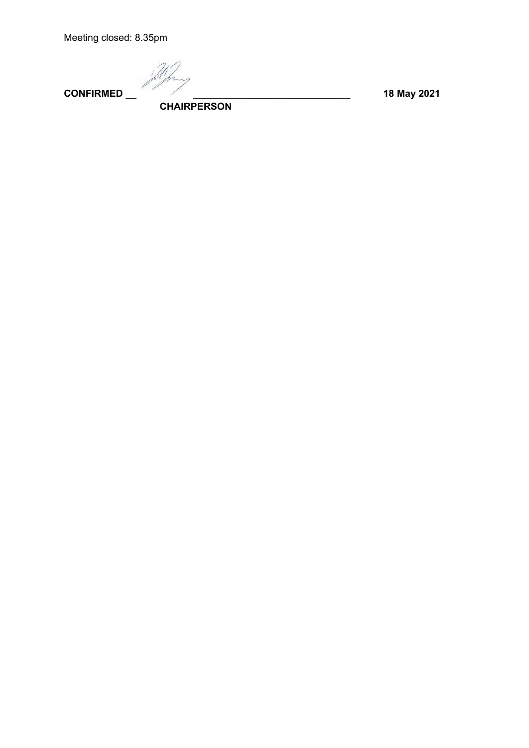Meeting closed: 8.35pm

**CONFIRMED \_\_ \_\_\_\_\_\_\_\_\_\_\_\_\_\_\_\_\_\_\_\_\_\_\_\_\_\_\_\_\_ 18 May 2021**

**CHAIRPERSON**